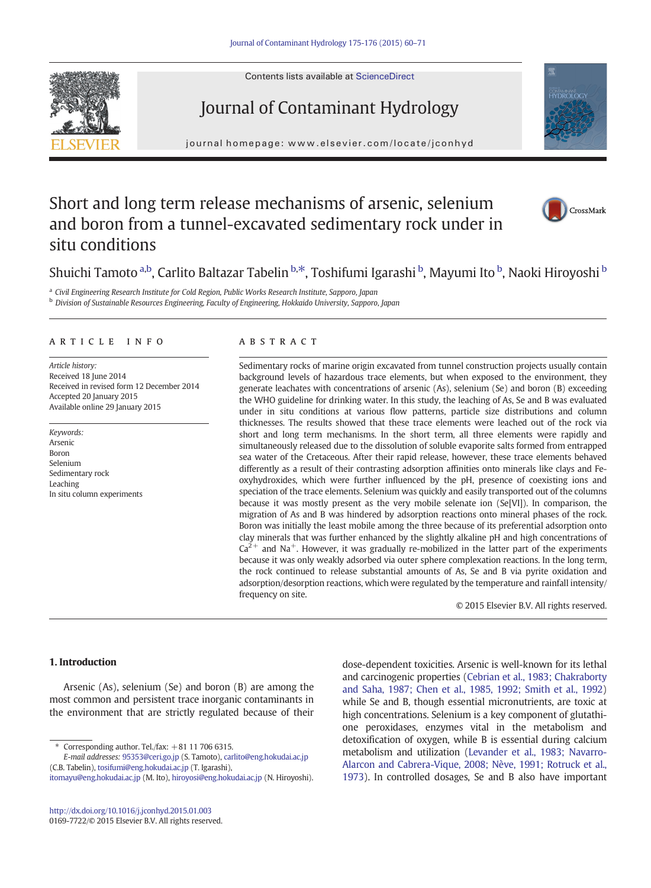Contents lists available at [ScienceDirect](http://www.sciencedirect.com/science/journal/01697722)





journal homepage: www.elsevier.com/locate/jconhyd



# Short and long term release mechanisms of arsenic, selenium and boron from a tunnel-excavated sedimentary rock under in situ conditions



# Shuichi Tamoto <sup>a,b</sup>, Carlito Baltazar Tabelin <sup>b,\*</sup>, Toshifumi Igarashi <sup>b</sup>, Mayumi Ito <sup>b</sup>, Naoki Hiroyoshi <sup>b</sup>

<sup>a</sup> Civil Engineering Research Institute for Cold Region, Public Works Research Institute, Sapporo, Japan

<sup>b</sup> Division of Sustainable Resources Engineering, Faculty of Engineering, Hokkaido University, Sapporo, Japan

# article info abstract

Article history: Received 18 June 2014 Received in revised form 12 December 2014 Accepted 20 January 2015 Available online 29 January 2015

Keywords: Arsenic Boron Selenium Sedimentary rock Leaching In situ column experiments

Sedimentary rocks of marine origin excavated from tunnel construction projects usually contain background levels of hazardous trace elements, but when exposed to the environment, they generate leachates with concentrations of arsenic (As), selenium (Se) and boron (B) exceeding the WHO guideline for drinking water. In this study, the leaching of As, Se and B was evaluated under in situ conditions at various flow patterns, particle size distributions and column thicknesses. The results showed that these trace elements were leached out of the rock via short and long term mechanisms. In the short term, all three elements were rapidly and simultaneously released due to the dissolution of soluble evaporite salts formed from entrapped sea water of the Cretaceous. After their rapid release, however, these trace elements behaved differently as a result of their contrasting adsorption affinities onto minerals like clays and Feoxyhydroxides, which were further influenced by the pH, presence of coexisting ions and speciation of the trace elements. Selenium was quickly and easily transported out of the columns because it was mostly present as the very mobile selenate ion (Se[VI]). In comparison, the migration of As and B was hindered by adsorption reactions onto mineral phases of the rock. Boron was initially the least mobile among the three because of its preferential adsorption onto clay minerals that was further enhanced by the slightly alkaline pH and high concentrations of  $Ca<sup>2+</sup>$  and Na<sup>+</sup>. However, it was gradually re-mobilized in the latter part of the experiments because it was only weakly adsorbed via outer sphere complexation reactions. In the long term, the rock continued to release substantial amounts of As, Se and B via pyrite oxidation and adsorption/desorption reactions, which were regulated by the temperature and rainfall intensity/ frequency on site.

© 2015 Elsevier B.V. All rights reserved.

# 1. Introduction

Arsenic (As), selenium (Se) and boron (B) are among the most common and persistent trace inorganic contaminants in the environment that are strictly regulated because of their

<http://dx.doi.org/10.1016/j.jconhyd.2015.01.003> 0169-7722/© 2015 Elsevier B.V. All rights reserved. dose-dependent toxicities. Arsenic is well-known for its lethal and carcinogenic properties ([Cebrian et al., 1983; Chakraborty](#page-10-0) [and Saha, 1987; Chen et al., 1985, 1992; Smith et al., 1992\)](#page-10-0) while Se and B, though essential micronutrients, are toxic at high concentrations. Selenium is a key component of glutathione peroxidases, enzymes vital in the metabolism and detoxification of oxygen, while B is essential during calcium metabolism and utilization ([Levander et al., 1983; Navarro-](#page-10-0)[Alarcon and Cabrera-Vique, 2008; Nève, 1991; Rotruck et al.,](#page-10-0) [1973](#page-10-0)). In controlled dosages, Se and B also have important

Corresponding author. Tel./fax:  $+81$  11 706 6315.

E-mail addresses: [95353@ceri.go.jp](mailto:95353@ceri.go.jp) (S. Tamoto), [carlito@eng.hokudai.ac.jp](mailto:carlito@eng.hokudai.ac.jp) (C.B. Tabelin), [tosifumi@eng.hokudai.ac.jp](mailto:tosifumi@eng.hokudai.ac.jp) (T. Igarashi), [itomayu@eng.hokudai.ac.jp](mailto:itomayu@eng.hokudai.ac.jp) (M. Ito), [hiroyosi@eng.hokudai.ac.jp](mailto:hiroyosi@eng.hokudai.ac.jp) (N. Hiroyoshi).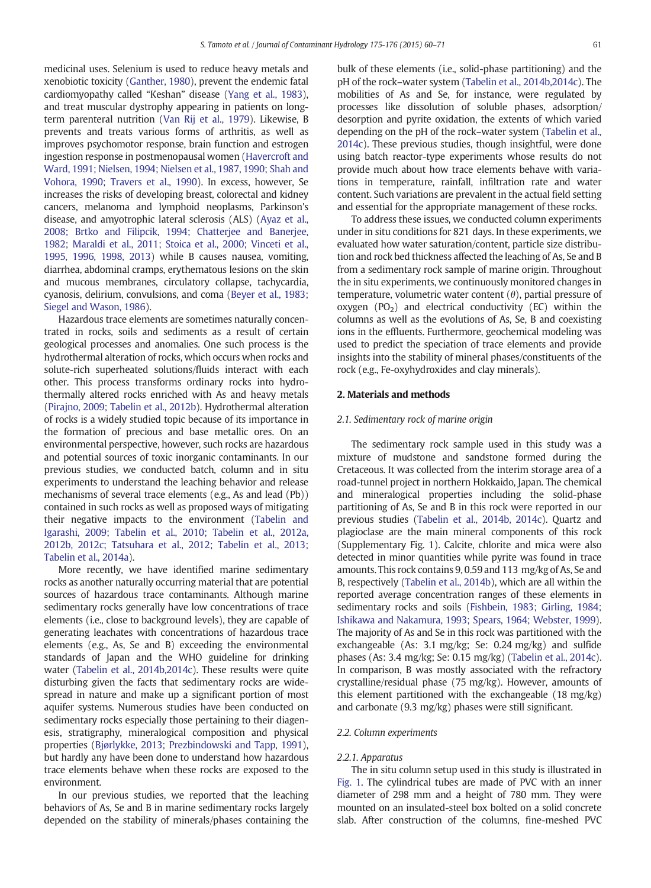medicinal uses. Selenium is used to reduce heavy metals and xenobiotic toxicity [\(Ganther, 1980\)](#page-10-0), prevent the endemic fatal cardiomyopathy called "Keshan" disease ([Yang et al., 1983\)](#page-11-0), and treat muscular dystrophy appearing in patients on longterm parenteral nutrition ([Van Rij et al., 1979\)](#page-11-0). Likewise, B prevents and treats various forms of arthritis, as well as improves psychomotor response, brain function and estrogen ingestion response in postmenopausal women [\(Havercroft and](#page-10-0) [Ward, 1991; Nielsen, 1994; Nielsen et al., 1987, 1990; Shah and](#page-10-0) [Vohora, 1990; Travers et al., 1990\)](#page-10-0). In excess, however, Se increases the risks of developing breast, colorectal and kidney cancers, melanoma and lymphoid neoplasms, Parkinson's disease, and amyotrophic lateral sclerosis (ALS) ([Ayaz et al.,](#page-10-0) [2008; Brtko and Filipcik, 1994; Chatterjee and Banerjee,](#page-10-0) [1982; Maraldi et al., 2011; Stoica et al., 2000; Vinceti et al.,](#page-10-0) [1995, 1996, 1998, 2013\)](#page-10-0) while B causes nausea, vomiting, diarrhea, abdominal cramps, erythematous lesions on the skin and mucous membranes, circulatory collapse, tachycardia, cyanosis, delirium, convulsions, and coma [\(Beyer et al., 1983;](#page-10-0) [Siegel and Wason, 1986](#page-10-0)).

Hazardous trace elements are sometimes naturally concentrated in rocks, soils and sediments as a result of certain geological processes and anomalies. One such process is the hydrothermal alteration of rocks, which occurs when rocks and solute-rich superheated solutions/fluids interact with each other. This process transforms ordinary rocks into hydrothermally altered rocks enriched with As and heavy metals [\(Pirajno, 2009; Tabelin et al., 2012b\)](#page-10-0). Hydrothermal alteration of rocks is a widely studied topic because of its importance in the formation of precious and base metallic ores. On an environmental perspective, however, such rocks are hazardous and potential sources of toxic inorganic contaminants. In our previous studies, we conducted batch, column and in situ experiments to understand the leaching behavior and release mechanisms of several trace elements (e.g., As and lead (Pb)) contained in such rocks as well as proposed ways of mitigating their negative impacts to the environment [\(Tabelin and](#page-10-0) [Igarashi, 2009; Tabelin et al., 2010; Tabelin et al., 2012a,](#page-10-0) [2012b, 2012c; Tatsuhara et al., 2012; Tabelin et al., 2013;](#page-10-0) [Tabelin et al., 2014a](#page-10-0)).

More recently, we have identified marine sedimentary rocks as another naturally occurring material that are potential sources of hazardous trace contaminants. Although marine sedimentary rocks generally have low concentrations of trace elements (i.e., close to background levels), they are capable of generating leachates with concentrations of hazardous trace elements (e.g., As, Se and B) exceeding the environmental standards of Japan and the WHO guideline for drinking water [\(Tabelin et al., 2014b,2014c\)](#page-11-0). These results were quite disturbing given the facts that sedimentary rocks are widespread in nature and make up a significant portion of most aquifer systems. Numerous studies have been conducted on sedimentary rocks especially those pertaining to their diagenesis, stratigraphy, mineralogical composition and physical properties ([Bjørlykke, 2013; Prezbindowski and Tapp, 1991\)](#page-10-0), but hardly any have been done to understand how hazardous trace elements behave when these rocks are exposed to the environment.

In our previous studies, we reported that the leaching behaviors of As, Se and B in marine sedimentary rocks largely depended on the stability of minerals/phases containing the

bulk of these elements (i.e., solid-phase partitioning) and the pH of the rock–water system [\(Tabelin et al., 2014b,2014c\)](#page-11-0). The mobilities of As and Se, for instance, were regulated by processes like dissolution of soluble phases, adsorption/ desorption and pyrite oxidation, the extents of which varied depending on the pH of the rock–water system [\(Tabelin et al.,](#page-11-0) [2014c](#page-11-0)). These previous studies, though insightful, were done using batch reactor-type experiments whose results do not provide much about how trace elements behave with variations in temperature, rainfall, infiltration rate and water content. Such variations are prevalent in the actual field setting and essential for the appropriate management of these rocks.

To address these issues, we conducted column experiments under in situ conditions for 821 days. In these experiments, we evaluated how water saturation/content, particle size distribution and rock bed thickness affected the leaching of As, Se and B from a sedimentary rock sample of marine origin. Throughout the in situ experiments, we continuously monitored changes in temperature, volumetric water content  $(\theta)$ , partial pressure of oxygen  $(PO<sub>2</sub>)$  and electrical conductivity  $(EC)$  within the columns as well as the evolutions of As, Se, B and coexisting ions in the effluents. Furthermore, geochemical modeling was used to predict the speciation of trace elements and provide insights into the stability of mineral phases/constituents of the rock (e.g., Fe-oxyhydroxides and clay minerals).

# 2. Materials and methods

# 2.1. Sedimentary rock of marine origin

The sedimentary rock sample used in this study was a mixture of mudstone and sandstone formed during the Cretaceous. It was collected from the interim storage area of a road-tunnel project in northern Hokkaido, Japan. The chemical and mineralogical properties including the solid-phase partitioning of As, Se and B in this rock were reported in our previous studies [\(Tabelin et al., 2014b, 2014c\)](#page-11-0). Quartz and plagioclase are the main mineral components of this rock (Supplementary Fig. 1). Calcite, chlorite and mica were also detected in minor quantities while pyrite was found in trace amounts. This rock contains 9, 0.59 and 113 mg/kg of As, Se and B, respectively ([Tabelin et al., 2014b](#page-11-0)), which are all within the reported average concentration ranges of these elements in sedimentary rocks and soils [\(Fishbein, 1983; Girling, 1984;](#page-10-0) [Ishikawa and Nakamura, 1993; Spears, 1964; Webster, 1999\)](#page-10-0). The majority of As and Se in this rock was partitioned with the exchangeable (As: 3.1 mg/kg; Se: 0.24 mg/kg) and sulfide phases (As: 3.4 mg/kg; Se: 0.15 mg/kg) ([Tabelin et al., 2014c\)](#page-11-0). In comparison, B was mostly associated with the refractory crystalline/residual phase (75 mg/kg). However, amounts of this element partitioned with the exchangeable (18 mg/kg) and carbonate (9.3 mg/kg) phases were still significant.

#### 2.2. Column experiments

#### 2.2.1. Apparatus

The in situ column setup used in this study is illustrated in [Fig. 1.](#page-2-0) The cylindrical tubes are made of PVC with an inner diameter of 298 mm and a height of 780 mm. They were mounted on an insulated-steel box bolted on a solid concrete slab. After construction of the columns, fine-meshed PVC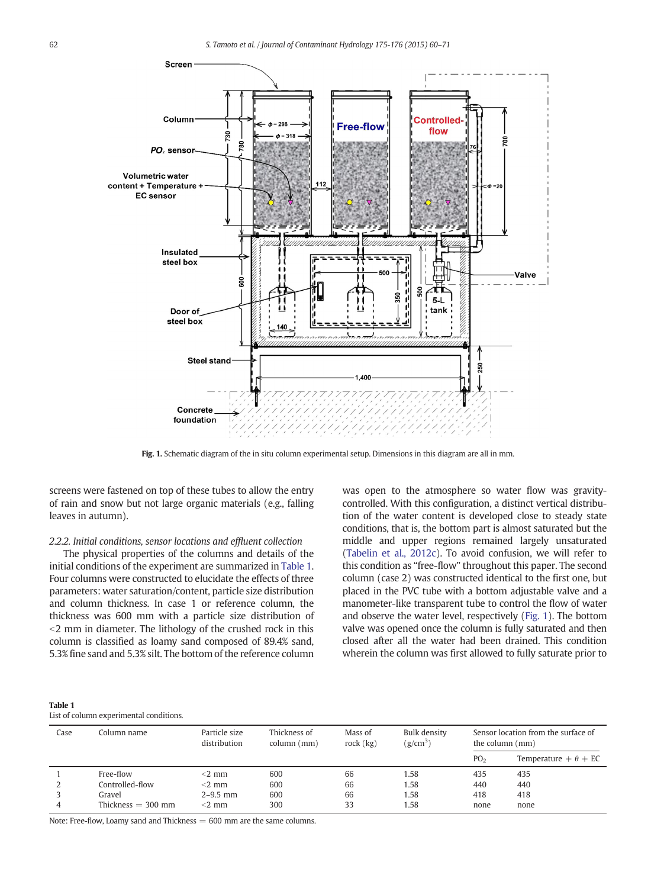<span id="page-2-0"></span>

Fig. 1. Schematic diagram of the in situ column experimental setup. Dimensions in this diagram are all in mm.

screens were fastened on top of these tubes to allow the entry of rain and snow but not large organic materials (e.g., falling leaves in autumn).

# 2.2.2. Initial conditions, sensor locations and effluent collection

The physical properties of the columns and details of the initial conditions of the experiment are summarized in Table 1. Four columns were constructed to elucidate the effects of three parameters: water saturation/content, particle size distribution and column thickness. In case 1 or reference column, the thickness was 600 mm with a particle size distribution of  $<$ 2 mm in diameter. The lithology of the crushed rock in this column is classified as loamy sand composed of 89.4% sand, 5.3% fine sand and 5.3% silt. The bottom of the reference column was open to the atmosphere so water flow was gravitycontrolled. With this configuration, a distinct vertical distribution of the water content is developed close to steady state conditions, that is, the bottom part is almost saturated but the middle and upper regions remained largely unsaturated ([Tabelin et al., 2012c](#page-11-0)). To avoid confusion, we will refer to this condition as "free-flow" throughout this paper. The second column (case 2) was constructed identical to the first one, but placed in the PVC tube with a bottom adjustable valve and a manometer-like transparent tube to control the flow of water and observe the water level, respectively (Fig. 1). The bottom valve was opened once the column is fully saturated and then closed after all the water had been drained. This condition wherein the column was first allowed to fully saturate prior to

| <b>Table 1</b>                          |  |
|-----------------------------------------|--|
| List of column experimental conditions. |  |

| Case | Column name-         | Particle size<br>distribution | Thickness of<br>column (mm) | Mass of<br>rock $(kg)$ | Bulk density<br>$(g/cm^3)$ | Sensor location from the surface of<br>the column (mm) |                             |  |
|------|----------------------|-------------------------------|-----------------------------|------------------------|----------------------------|--------------------------------------------------------|-----------------------------|--|
|      |                      |                               |                             |                        |                            | PO <sub>2</sub>                                        | Temperature $+ \theta + EC$ |  |
|      | Free-flow            | $<$ 2 mm                      | 600                         | 66                     | 1.58                       | 435                                                    | 435                         |  |
|      | Controlled-flow      | $<$ 2 mm                      | 600                         | 66                     | 1.58                       | 440                                                    | 440                         |  |
|      | Gravel               | $2 - 9.5$ mm                  | 600                         | 66                     | 1.58                       | 418                                                    | 418                         |  |
| 4    | Thickness $=$ 300 mm | $<$ 2 mm                      | 300                         | 33                     | 1.58                       | none                                                   | none                        |  |

Note: Free-flow, Loamy sand and Thickness  $= 600$  mm are the same columns.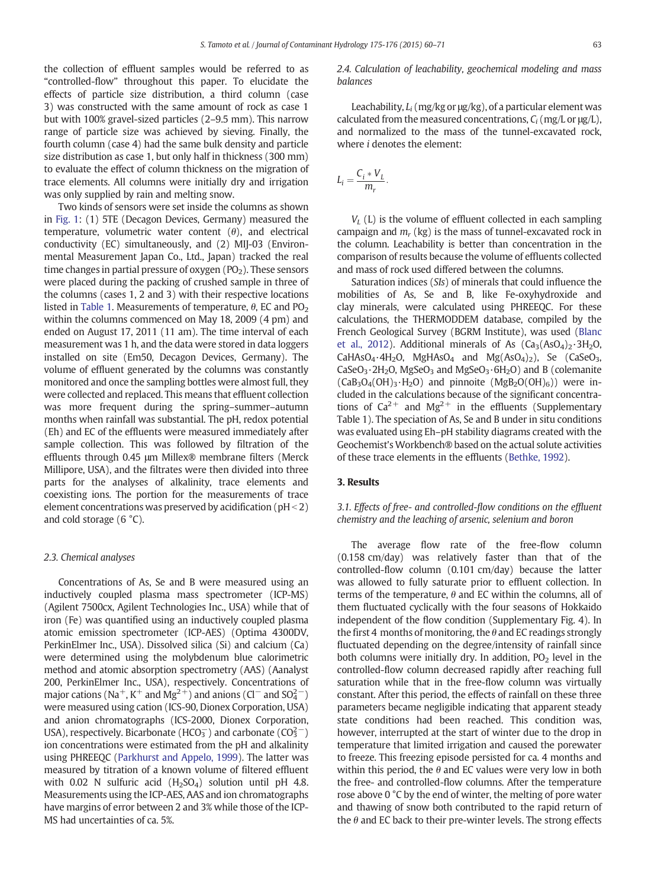the collection of effluent samples would be referred to as "controlled-flow" throughout this paper. To elucidate the effects of particle size distribution, a third column (case 3) was constructed with the same amount of rock as case 1 but with 100% gravel-sized particles (2–9.5 mm). This narrow range of particle size was achieved by sieving. Finally, the fourth column (case 4) had the same bulk density and particle size distribution as case 1, but only half in thickness (300 mm) to evaluate the effect of column thickness on the migration of trace elements. All columns were initially dry and irrigation was only supplied by rain and melting snow.

Two kinds of sensors were set inside the columns as shown in [Fig. 1:](#page-2-0) (1) 5TE (Decagon Devices, Germany) measured the temperature, volumetric water content  $(\theta)$ , and electrical conductivity (EC) simultaneously, and (2) MIJ-03 (Environmental Measurement Japan Co., Ltd., Japan) tracked the real time changes in partial pressure of oxygen  $(PO<sub>2</sub>)$ . These sensors were placed during the packing of crushed sample in three of the columns (cases 1, 2 and 3) with their respective locations listed in [Table 1](#page-2-0). Measurements of temperature,  $\theta$ , EC and PO<sub>2</sub> within the columns commenced on May 18, 2009 (4 pm) and ended on August 17, 2011 (11 am). The time interval of each measurement was 1 h, and the data were stored in data loggers installed on site (Em50, Decagon Devices, Germany). The volume of effluent generated by the columns was constantly monitored and once the sampling bottles were almost full, they were collected and replaced. This means that effluent collection was more frequent during the spring–summer–autumn months when rainfall was substantial. The pH, redox potential (Eh) and EC of the effluents were measured immediately after sample collection. This was followed by filtration of the effluents through 0.45 μm Millex® membrane filters (Merck Millipore, USA), and the filtrates were then divided into three parts for the analyses of alkalinity, trace elements and coexisting ions. The portion for the measurements of trace element concentrations was preserved by acidification ( $pH < 2$ ) and cold storage (6 °C).

#### 2.3. Chemical analyses

Concentrations of As, Se and B were measured using an inductively coupled plasma mass spectrometer (ICP-MS) (Agilent 7500cx, Agilent Technologies Inc., USA) while that of iron (Fe) was quantified using an inductively coupled plasma atomic emission spectrometer (ICP-AES) (Optima 4300DV, PerkinElmer Inc., USA). Dissolved silica (Si) and calcium (Ca) were determined using the molybdenum blue calorimetric method and atomic absorption spectrometry (AAS) (Aanalyst 200, PerkinElmer Inc., USA), respectively. Concentrations of major cations (Na<sup>+</sup>, K<sup>+</sup> and Mg<sup>2+</sup>) and anions (Cl<sup>−</sup> and SO $^{2-}_{4}$ ) were measured using cation (ICS-90, Dionex Corporation, USA) and anion chromatographs (ICS-2000, Dionex Corporation, USA), respectively. Bicarbonate (HCO $_3^-$ ) and carbonate (CO $_3^{2-})$ ion concentrations were estimated from the pH and alkalinity using PHREEQC ([Parkhurst and Appelo, 1999\)](#page-10-0). The latter was measured by titration of a known volume of filtered effluent with 0.02 N sulfuric acid  $(H<sub>2</sub>SO<sub>4</sub>)$  solution until pH 4.8. Measurements using the ICP-AES, AAS and ion chromatographs have margins of error between 2 and 3% while those of the ICP-MS had uncertainties of ca. 5%.

2.4. Calculation of leachability, geochemical modeling and mass balances

Leachability,  $L_i$  (mg/kg or  $\mu$ g/kg), of a particular element was calculated from the measured concentrations,  $C_i$  (mg/L or  $\mu$ g/L), and normalized to the mass of the tunnel-excavated rock, where i denotes the element:

$$
L_i=\frac{C_i*V_L}{m_r}.
$$

 $V_L$  (L) is the volume of effluent collected in each sampling campaign and  $m_r$  (kg) is the mass of tunnel-excavated rock in the column. Leachability is better than concentration in the comparison of results because the volume of effluents collected and mass of rock used differed between the columns.

Saturation indices (SIs) of minerals that could influence the mobilities of As, Se and B, like Fe-oxyhydroxide and clay minerals, were calculated using PHREEQC. For these calculations, the THERMODDEM database, compiled by the French Geological Survey (BGRM Institute), was used ([Blanc](#page-10-0) [et al., 2012](#page-10-0)). Additional minerals of As  $(Ca_3(AsO_4)_2.3H_2O,$ CaHAsO<sub>4</sub>·4H<sub>2</sub>O, MgHAsO<sub>4</sub> and Mg(AsO<sub>4</sub>)<sub>2</sub>), Se (CaSeO<sub>3</sub>, CaSeO<sub>3</sub> $\cdot$ 2H<sub>2</sub>O, MgSeO<sub>3</sub> and MgSeO<sub>3</sub> $\cdot$ 6H<sub>2</sub>O) and B (colemanite  $(CaB<sub>3</sub>O<sub>4</sub>(OH)<sub>3</sub>·H<sub>2</sub>O)$  and pinnoite  $(MgB<sub>2</sub>O(OH)<sub>6</sub>)$  were included in the calculations because of the significant concentrations of  $Ca^{2+}$  and  $Mg^{2+}$  in the effluents (Supplementary Table 1). The speciation of As, Se and B under in situ conditions was evaluated using Eh–pH stability diagrams created with the Geochemist's Workbench® based on the actual solute activities of these trace elements in the effluents [\(Bethke, 1992\)](#page-10-0).

# 3. Results

# 3.1. Effects of free- and controlled-flow conditions on the effluent chemistry and the leaching of arsenic, selenium and boron

The average flow rate of the free-flow column (0.158 cm/day) was relatively faster than that of the controlled-flow column (0.101 cm/day) because the latter was allowed to fully saturate prior to effluent collection. In terms of the temperature,  $\theta$  and EC within the columns, all of them fluctuated cyclically with the four seasons of Hokkaido independent of the flow condition (Supplementary Fig. 4). In the first 4 months of monitoring, the  $\theta$  and EC readings strongly fluctuated depending on the degree/intensity of rainfall since both columns were initially dry. In addition,  $PO<sub>2</sub>$  level in the controlled-flow column decreased rapidly after reaching full saturation while that in the free-flow column was virtually constant. After this period, the effects of rainfall on these three parameters became negligible indicating that apparent steady state conditions had been reached. This condition was, however, interrupted at the start of winter due to the drop in temperature that limited irrigation and caused the porewater to freeze. This freezing episode persisted for ca. 4 months and within this period, the  $\theta$  and EC values were very low in both the free- and controlled-flow columns. After the temperature rose above 0 °C by the end of winter, the melting of pore water and thawing of snow both contributed to the rapid return of the  $\theta$  and EC back to their pre-winter levels. The strong effects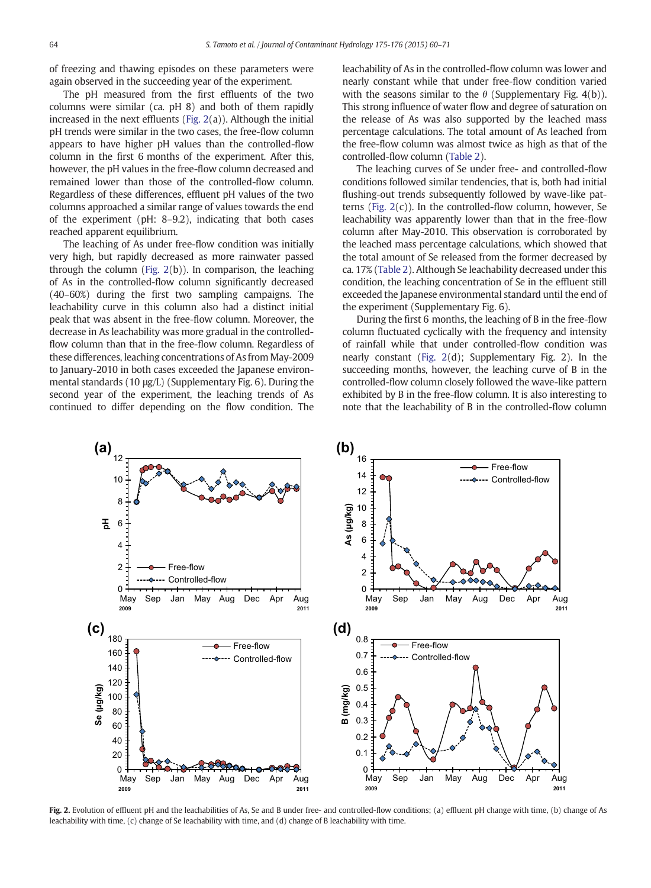<span id="page-4-0"></span>of freezing and thawing episodes on these parameters were again observed in the succeeding year of the experiment.

The pH measured from the first effluents of the two columns were similar (ca. pH 8) and both of them rapidly increased in the next effluents (Fig. 2(a)). Although the initial pH trends were similar in the two cases, the free-flow column appears to have higher pH values than the controlled-flow column in the first 6 months of the experiment. After this, however, the pH values in the free-flow column decreased and remained lower than those of the controlled-flow column. Regardless of these differences, effluent pH values of the two columns approached a similar range of values towards the end of the experiment (pH: 8–9.2), indicating that both cases reached apparent equilibrium.

The leaching of As under free-flow condition was initially very high, but rapidly decreased as more rainwater passed through the column (Fig. 2(b)). In comparison, the leaching of As in the controlled-flow column significantly decreased (40–60%) during the first two sampling campaigns. The leachability curve in this column also had a distinct initial peak that was absent in the free-flow column. Moreover, the decrease in As leachability was more gradual in the controlledflow column than that in the free-flow column. Regardless of these differences, leaching concentrations of As from May-2009 to January-2010 in both cases exceeded the Japanese environmental standards (10 μg/L) (Supplementary Fig. 6). During the second year of the experiment, the leaching trends of As continued to differ depending on the flow condition. The leachability of As in the controlled-flow column was lower and nearly constant while that under free-flow condition varied with the seasons similar to the  $\theta$  (Supplementary Fig. 4(b)). This strong influence of water flow and degree of saturation on the release of As was also supported by the leached mass percentage calculations. The total amount of As leached from the free-flow column was almost twice as high as that of the controlled-flow column ([Table 2](#page-5-0)).

The leaching curves of Se under free- and controlled-flow conditions followed similar tendencies, that is, both had initial flushing-out trends subsequently followed by wave-like patterns (Fig.  $2(c)$ ). In the controlled-flow column, however, Se leachability was apparently lower than that in the free-flow column after May-2010. This observation is corroborated by the leached mass percentage calculations, which showed that the total amount of Se released from the former decreased by ca. 17% [\(Table 2](#page-5-0)). Although Se leachability decreased under this condition, the leaching concentration of Se in the effluent still exceeded the Japanese environmental standard until the end of the experiment (Supplementary Fig. 6).

During the first 6 months, the leaching of B in the free-flow column fluctuated cyclically with the frequency and intensity of rainfall while that under controlled-flow condition was nearly constant (Fig. 2(d); Supplementary Fig. 2). In the succeeding months, however, the leaching curve of B in the controlled-flow column closely followed the wave-like pattern exhibited by B in the free-flow column. It is also interesting to note that the leachability of B in the controlled-flow column



Fig. 2. Evolution of effluent pH and the leachabilities of As, Se and B under free- and controlled-flow conditions; (a) effluent pH change with time, (b) change of As leachability with time, (c) change of Se leachability with time, and (d) change of B leachability with time.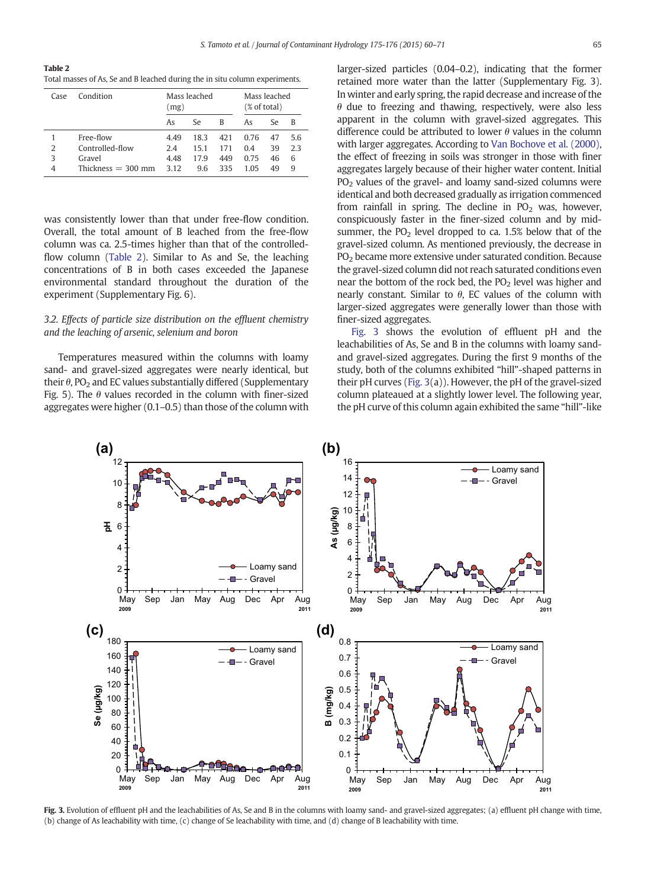<span id="page-5-0"></span>Table 2 Total masses of As, Se and B leached during the in situ column experiments.

| Case | Condition            | Mass leached<br>(mg) |      | Mass leached<br>(% of total) |      |     |     |
|------|----------------------|----------------------|------|------------------------------|------|-----|-----|
|      |                      | As                   | Se.  | B                            | As   | Se. | В   |
|      | Free-flow            | 4.49                 | 18.3 | 421                          | 0.76 | 47  | 5.6 |
| 2    | Controlled-flow      | 2.4                  | 15.1 | 171                          | 0.4  | 39  | 23  |
| 3    | Gravel               | 4.48                 | 179  | 449                          | 0.75 | 46  | 6   |
| 4    | Thickness $=$ 300 mm | 3.12                 | 9.6  | 335                          | 1 05 | 49  | q   |

was consistently lower than that under free-flow condition. Overall, the total amount of B leached from the free-flow column was ca. 2.5-times higher than that of the controlledflow column (Table 2). Similar to As and Se, the leaching concentrations of B in both cases exceeded the Japanese environmental standard throughout the duration of the experiment (Supplementary Fig. 6).

# 3.2. Effects of particle size distribution on the effluent chemistry and the leaching of arsenic, selenium and boron

Temperatures measured within the columns with loamy sand- and gravel-sized aggregates were nearly identical, but their  $\theta$ , PO<sub>2</sub> and EC values substantially differed (Supplementary Fig. 5). The  $\theta$  values recorded in the column with finer-sized aggregates were higher (0.1–0.5) than those of the column with larger-sized particles (0.04–0.2), indicating that the former retained more water than the latter (Supplementary Fig. 3). In winter and early spring, the rapid decrease and increase of the  $\theta$  due to freezing and thawing, respectively, were also less apparent in the column with gravel-sized aggregates. This difference could be attributed to lower  $\theta$  values in the column with larger aggregates. According to [Van Bochove et al. \(2000\)](#page-11-0), the effect of freezing in soils was stronger in those with finer aggregates largely because of their higher water content. Initial  $PO<sub>2</sub>$  values of the gravel- and loamy sand-sized columns were identical and both decreased gradually as irrigation commenced from rainfall in spring. The decline in  $PO<sub>2</sub>$  was, however, conspicuously faster in the finer-sized column and by midsummer, the  $PO<sub>2</sub>$  level dropped to ca. 1.5% below that of the gravel-sized column. As mentioned previously, the decrease in PO2 became more extensive under saturated condition. Because the gravel-sized column did not reach saturated conditions even near the bottom of the rock bed, the  $PO<sub>2</sub>$  level was higher and nearly constant. Similar to  $θ$ , EC values of the column with larger-sized aggregates were generally lower than those with finer-sized aggregates.

Fig. 3 shows the evolution of effluent pH and the leachabilities of As, Se and B in the columns with loamy sandand gravel-sized aggregates. During the first 9 months of the study, both of the columns exhibited "hill"-shaped patterns in their pH curves (Fig. 3(a)). However, the pH of the gravel-sized column plateaued at a slightly lower level. The following year, the pH curve of this column again exhibited the same "hill"-like



Fig. 3. Evolution of effluent pH and the leachabilities of As, Se and B in the columns with loamy sand- and gravel-sized aggregates; (a) effluent pH change with time, (b) change of As leachability with time, (c) change of Se leachability with time, and (d) change of B leachability with time.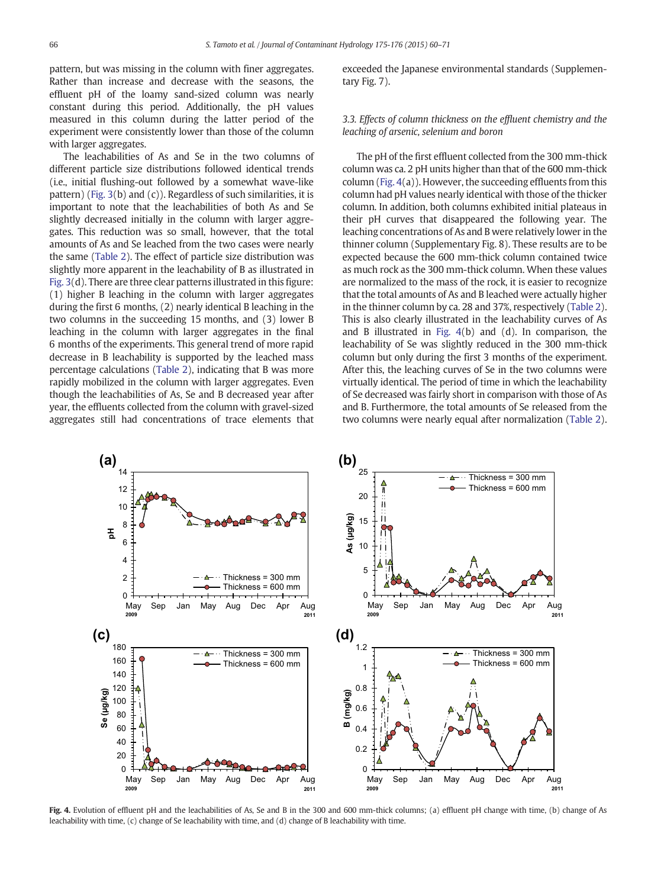pattern, but was missing in the column with finer aggregates. Rather than increase and decrease with the seasons, the effluent pH of the loamy sand-sized column was nearly constant during this period. Additionally, the pH values measured in this column during the latter period of the experiment were consistently lower than those of the column with larger aggregates.

The leachabilities of As and Se in the two columns of different particle size distributions followed identical trends (i.e., initial flushing-out followed by a somewhat wave-like pattern) [\(Fig. 3](#page-5-0)(b) and (c)). Regardless of such similarities, it is important to note that the leachabilities of both As and Se slightly decreased initially in the column with larger aggregates. This reduction was so small, however, that the total amounts of As and Se leached from the two cases were nearly the same ([Table 2](#page-5-0)). The effect of particle size distribution was slightly more apparent in the leachability of B as illustrated in [Fig. 3](#page-5-0)(d). There are three clear patterns illustrated in this figure: (1) higher B leaching in the column with larger aggregates during the first 6 months, (2) nearly identical B leaching in the two columns in the succeeding 15 months, and (3) lower B leaching in the column with larger aggregates in the final 6 months of the experiments. This general trend of more rapid decrease in B leachability is supported by the leached mass percentage calculations ([Table 2\)](#page-5-0), indicating that B was more rapidly mobilized in the column with larger aggregates. Even though the leachabilities of As, Se and B decreased year after year, the effluents collected from the column with gravel-sized aggregates still had concentrations of trace elements that exceeded the Japanese environmental standards (Supplementary Fig. 7).

3.3. Effects of column thickness on the effluent chemistry and the leaching of arsenic, selenium and boron

The pH of the first effluent collected from the 300 mm-thick column was ca. 2 pH units higher than that of the 600 mm-thick column (Fig. 4(a)). However, the succeeding effluents from this column had pH values nearly identical with those of the thicker column. In addition, both columns exhibited initial plateaus in their pH curves that disappeared the following year. The leaching concentrations of As and B were relatively lower in the thinner column (Supplementary Fig. 8). These results are to be expected because the 600 mm-thick column contained twice as much rock as the 300 mm-thick column. When these values are normalized to the mass of the rock, it is easier to recognize that the total amounts of As and B leached were actually higher in the thinner column by ca. 28 and 37%, respectively [\(Table 2](#page-5-0)). This is also clearly illustrated in the leachability curves of As and B illustrated in Fig. 4(b) and (d). In comparison, the leachability of Se was slightly reduced in the 300 mm-thick column but only during the first 3 months of the experiment. After this, the leaching curves of Se in the two columns were virtually identical. The period of time in which the leachability of Se decreased was fairly short in comparison with those of As and B. Furthermore, the total amounts of Se released from the two columns were nearly equal after normalization [\(Table 2](#page-5-0)).



Fig. 4. Evolution of effluent pH and the leachabilities of As, Se and B in the 300 and 600 mm-thick columns; (a) effluent pH change with time, (b) change of As leachability with time, (c) change of Se leachability with time, and (d) change of B leachability with time.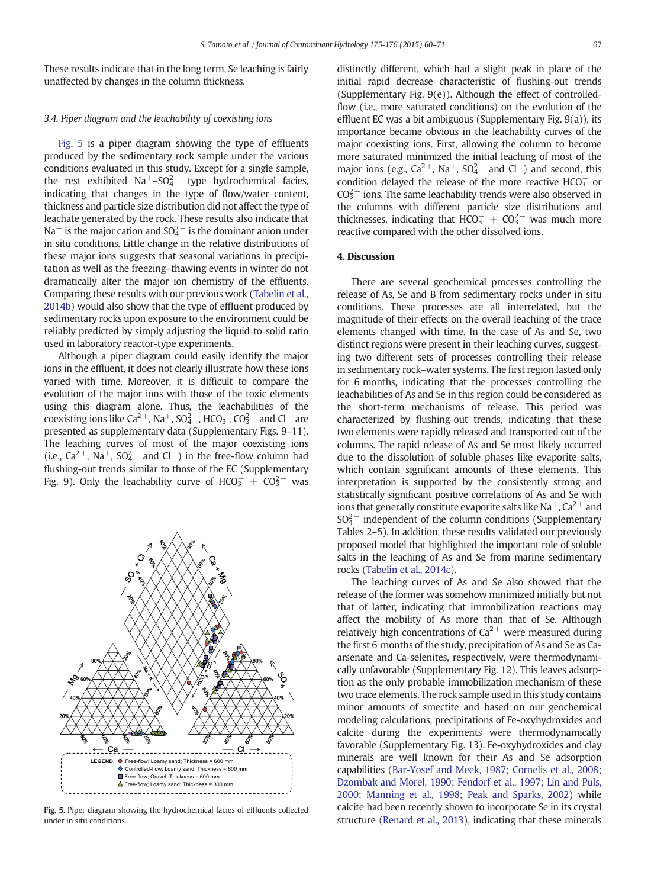These results indicate that in the long term, Se leaching is fairly unaffected by changes in the column thickness.

### 3.4. Piper diagram and the leachability of coexisting ions

Fig. 5 is a piper diagram showing the type of effluents produced by the sedimentary rock sample under the various conditions evaluated in this study. Except for a single sample, the rest exhibited  $\text{Na}^+$ –SO $_4^{2-}$  type hydrochemical facies, indicating that changes in the type of flow/water content, thickness and particle size distribution did not affect the type of leachate generated by the rock. These results also indicate that Na $^+$  is the major cation and SO $_4^{2-}$  is the dominant anion under in situ conditions. Little change in the relative distributions of these major ions suggests that seasonal variations in precipitation as well as the freezing–thawing events in winter do not dramatically alter the major ion chemistry of the effluents. Comparing these results with our previous work [\(Tabelin et al.,](#page-11-0) [2014b](#page-11-0)) would also show that the type of effluent produced by sedimentary rocks upon exposure to the environment could be reliably predicted by simply adjusting the liquid-to-solid ratio used in laboratory reactor-type experiments.

Although a piper diagram could easily identify the major ions in the effluent, it does not clearly illustrate how these ions varied with time. Moreover, it is difficult to compare the evolution of the major ions with those of the toxic elements using this diagram alone. Thus, the leachabilities of the coexisting ions like Ca<sup>2+</sup>, Na<sup>+</sup>, SO<sub>4</sub><sup>-</sup>, HCO<sub>3</sub>, CO<sub>3</sub><sup>-</sup> and Cl<sup>-</sup> are presented as supplementary data (Supplementary Figs. 9–11). The leaching curves of most of the major coexisting ions (i.e.,  $Ca^{2+}$ , Na<sup>+</sup>, SO<sub>4</sub><sup>-</sup> and Cl<sup>-</sup>) in the free-flow column had flushing-out trends similar to those of the EC (Supplementary Fig. 9). Only the leachability curve of  $HCO_3^- + CO_3^{2-}$  was



Fig. 5. Piper diagram showing the hydrochemical facies of effluents collected under in situ conditions.

distinctly different, which had a slight peak in place of the initial rapid decrease characteristic of flushing-out trends (Supplementary Fig. 9(e)). Although the effect of controlledflow (i.e., more saturated conditions) on the evolution of the effluent EC was a bit ambiguous (Supplementary Fig. 9(a)), its importance became obvious in the leachability curves of the major coexisting ions. First, allowing the column to become more saturated minimized the initial leaching of most of the major ions (e.g.,  $Ca^{2+}$ , Na<sup>+</sup>, SO<sub>4</sub><sup>2</sup> and Cl<sup>-</sup>) and second, this condition delayed the release of the more reactive  $HCO<sub>3</sub><sup>-</sup>$  or  $CO<sub>3</sub><sup>2</sup>$  ions. The same leachability trends were also observed in the columns with different particle size distributions and thicknesses, indicating that  $HCO<sub>3</sub><sup>-</sup> + CO<sub>3</sub><sup>2</sup>$  was much more reactive compared with the other dissolved ions.

# 4. Discussion

There are several geochemical processes controlling the release of As, Se and B from sedimentary rocks under in situ conditions. These processes are all interrelated, but the magnitude of their effects on the overall leaching of the trace elements changed with time. In the case of As and Se, two distinct regions were present in their leaching curves, suggesting two different sets of processes controlling their release in sedimentary rock–water systems. The first region lasted only for 6 months, indicating that the processes controlling the leachabilities of As and Se in this region could be considered as the short-term mechanisms of release. This period was characterized by flushing-out trends, indicating that these two elements were rapidly released and transported out of the columns. The rapid release of As and Se most likely occurred due to the dissolution of soluble phases like evaporite salts, which contain significant amounts of these elements. This interpretation is supported by the consistently strong and statistically significant positive correlations of As and Se with ions that generally constitute evaporite salts like Na<sup>+</sup>, Ca<sup>2+</sup> and  $SO_4^{2-}$  independent of the column conditions (Supplementary Tables 2–5). In addition, these results validated our previously proposed model that highlighted the important role of soluble salts in the leaching of As and Se from marine sedimentary rocks [\(Tabelin et al., 2014c\)](#page-11-0).

The leaching curves of As and Se also showed that the release of the former was somehow minimized initially but not that of latter, indicating that immobilization reactions may affect the mobility of As more than that of Se. Although relatively high concentrations of  $Ca^{2+}$  were measured during the first 6 months of the study, precipitation of As and Se as Caarsenate and Ca-selenites, respectively, were thermodynamically unfavorable (Supplementary Fig. 12). This leaves adsorption as the only probable immobilization mechanism of these two trace elements. The rock sample used in this study contains minor amounts of smectite and based on our geochemical modeling calculations, precipitations of Fe-oxyhydroxides and calcite during the experiments were thermodynamically favorable (Supplementary Fig. 13). Fe-oxyhydroxides and clay minerals are well known for their As and Se adsorption capabilities [\(Bar-Yosef and Meek, 1987; Cornelis et al., 2008;](#page-10-0) [Dzombak and Morel, 1990; Fendorf et al., 1997; Lin and Puls,](#page-10-0) [2000; Manning et al., 1998; Peak and Sparks, 2002\)](#page-10-0) while calcite had been recently shown to incorporate Se in its crystal structure [\(Renard et al., 2013\)](#page-10-0), indicating that these minerals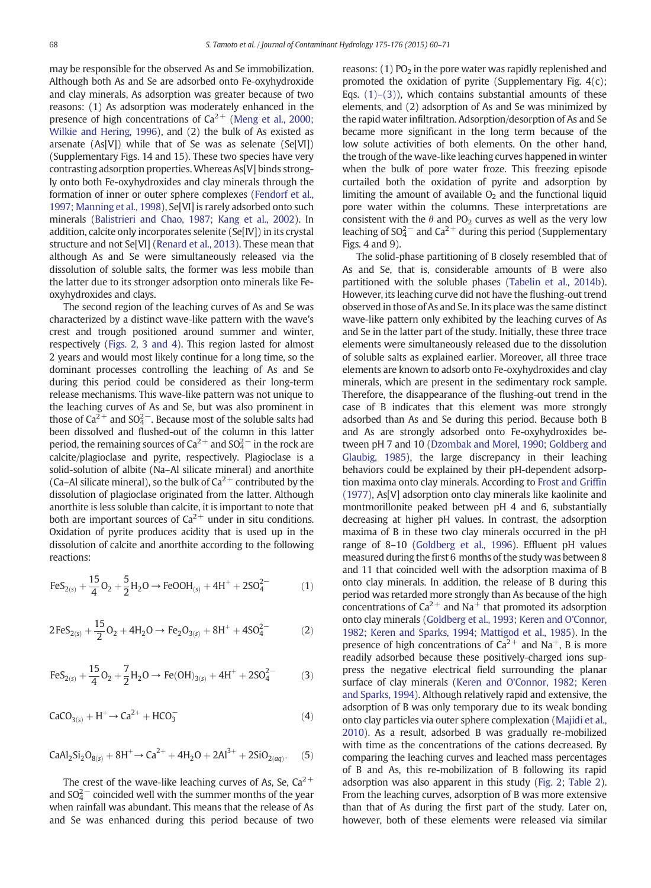may be responsible for the observed As and Se immobilization. Although both As and Se are adsorbed onto Fe-oxyhydroxide and clay minerals, As adsorption was greater because of two reasons: (1) As adsorption was moderately enhanced in the presence of high concentrations of  $Ca^{2+}$  ([Meng et al., 2000;](#page-10-0) [Wilkie and Hering, 1996](#page-10-0)), and (2) the bulk of As existed as arsenate (As[V]) while that of Se was as selenate (Se[VI]) (Supplementary Figs. 14 and 15). These two species have very contrasting adsorption properties.Whereas As[V] binds strongly onto both Fe-oxyhydroxides and clay minerals through the formation of inner or outer sphere complexes [\(Fendorf et al.,](#page-10-0) [1997; Manning et al., 1998\)](#page-10-0), Se[VI] is rarely adsorbed onto such minerals [\(Balistrieri and Chao, 1987; Kang et al., 2002](#page-10-0)). In addition, calcite only incorporates selenite (Se[IV]) in its crystal structure and not Se[VI] [\(Renard et al., 2013\)](#page-10-0). These mean that although As and Se were simultaneously released via the dissolution of soluble salts, the former was less mobile than the latter due to its stronger adsorption onto minerals like Feoxyhydroxides and clays.

The second region of the leaching curves of As and Se was characterized by a distinct wave-like pattern with the wave's crest and trough positioned around summer and winter, respectively ([Figs. 2, 3 and 4](#page-4-0)). This region lasted for almost 2 years and would most likely continue for a long time, so the dominant processes controlling the leaching of As and Se during this period could be considered as their long-term release mechanisms. This wave-like pattern was not unique to the leaching curves of As and Se, but was also prominent in those of  $Ca^{2+}$  and  $SO_4^{2-}$ . Because most of the soluble salts had been dissolved and flushed-out of the column in this latter period, the remaining sources of Ca<sup>2+</sup> and SO<sub>4</sub><sup>-</sup> in the rock are calcite/plagioclase and pyrite, respectively. Plagioclase is a solid-solution of albite (Na–Al silicate mineral) and anorthite (Ca–Al silicate mineral), so the bulk of  $Ca^{2+}$  contributed by the dissolution of plagioclase originated from the latter. Although anorthite is less soluble than calcite, it is important to note that both are important sources of  $Ca^{2+}$  under in situ conditions. Oxidation of pyrite produces acidity that is used up in the dissolution of calcite and anorthite according to the following reactions:

$$
FeS_{2(s)} + \frac{15}{4}O_2 + \frac{5}{2}H_2O \rightarrow FeOOH_{(s)} + 4H^+ + 2SO_4^{2-}
$$
 (1)

$$
2\text{FeS}_{2(s)} + \frac{15}{2}O_2 + 4\text{H}_2\text{O} \rightarrow \text{Fe}_2\text{O}_{3(s)} + 8\text{H}^+ + 4\text{SO}_4^{2-} \tag{2}
$$

$$
FeS_{2(s)}+\frac{15}{4}O_2+\frac{7}{2}H_2O\rightarrow Fe(OH)_{3(s)}+4H^++2SO_4^{2-} \qquad \quad \ (3)
$$

$$
CaCO_{3(s)} + H^{+} \rightarrow Ca^{2+} + HCO_{3}^{-} \tag{4}
$$

$$
CaAl_2Si_2O_{8(s)} + 8H^+ \rightarrow Ca^{2+} + 4H_2O + 2Al^{3+} + 2SiO_{2(aq)}.\quad \ \ (5)
$$

The crest of the wave-like leaching curves of As, Se,  $Ca^{2+}$ and  $SO_4^{2-}$  coincided well with the summer months of the year when rainfall was abundant. This means that the release of As and Se was enhanced during this period because of two reasons:  $(1)$  PO<sub>2</sub> in the pore water was rapidly replenished and promoted the oxidation of pyrite (Supplementary Fig. 4(c); Eqs.  $(1)$ – $(3)$ ), which contains substantial amounts of these elements, and (2) adsorption of As and Se was minimized by the rapid water infiltration. Adsorption/desorption of As and Se became more significant in the long term because of the low solute activities of both elements. On the other hand, the trough of the wave-like leaching curves happened in winter when the bulk of pore water froze. This freezing episode curtailed both the oxidation of pyrite and adsorption by limiting the amount of available  $O<sub>2</sub>$  and the functional liquid pore water within the columns. These interpretations are consistent with the  $\theta$  and PO<sub>2</sub> curves as well as the very low leaching of  $SO_4^{2-}$  and  $Ca^{2+}$  during this period (Supplementary Figs. 4 and 9).

The solid-phase partitioning of B closely resembled that of As and Se, that is, considerable amounts of B were also partitioned with the soluble phases [\(Tabelin et al., 2014b](#page-11-0)). However, its leaching curve did not have the flushing-out trend observed in those of As and Se. In its place was the same distinct wave-like pattern only exhibited by the leaching curves of As and Se in the latter part of the study. Initially, these three trace elements were simultaneously released due to the dissolution of soluble salts as explained earlier. Moreover, all three trace elements are known to adsorb onto Fe-oxyhydroxides and clay minerals, which are present in the sedimentary rock sample. Therefore, the disappearance of the flushing-out trend in the case of B indicates that this element was more strongly adsorbed than As and Se during this period. Because both B and As are strongly adsorbed onto Fe-oxyhydroxides between pH 7 and 10 [\(Dzombak and Morel, 1990; Goldberg and](#page-10-0) [Glaubig, 1985](#page-10-0)), the large discrepancy in their leaching behaviors could be explained by their pH-dependent adsorption maxima onto clay minerals. According to [Frost and Griffin](#page-10-0) [\(1977\),](#page-10-0) As[V] adsorption onto clay minerals like kaolinite and montmorillonite peaked between pH 4 and 6, substantially decreasing at higher pH values. In contrast, the adsorption maxima of B in these two clay minerals occurred in the pH range of 8–10 [\(Goldberg et al., 1996](#page-10-0)). Effluent pH values measured during the first 6 months of the study was between 8 and 11 that coincided well with the adsorption maxima of B onto clay minerals. In addition, the release of B during this period was retarded more strongly than As because of the high concentrations of  $Ca^{2+}$  and Na<sup>+</sup> that promoted its adsorption onto clay minerals ([Goldberg et al., 1993; Keren and O'Connor,](#page-10-0) [1982; Keren and Sparks, 1994; Mattigod et al., 1985\)](#page-10-0). In the presence of high concentrations of  $Ca^{2+}$  and Na<sup>+</sup>, B is more readily adsorbed because these positively-charged ions suppress the negative electrical field surrounding the planar surface of clay minerals ([Keren and O'Connor, 1982; Keren](#page-10-0) [and Sparks, 1994](#page-10-0)). Although relatively rapid and extensive, the adsorption of B was only temporary due to its weak bonding onto clay particles via outer sphere complexation ([Majidi et al.,](#page-10-0) [2010](#page-10-0)). As a result, adsorbed B was gradually re-mobilized with time as the concentrations of the cations decreased. By comparing the leaching curves and leached mass percentages of B and As, this re-mobilization of B following its rapid adsorption was also apparent in this study [\(Fig. 2;](#page-4-0) [Table 2](#page-5-0)). From the leaching curves, adsorption of B was more extensive than that of As during the first part of the study. Later on, however, both of these elements were released via similar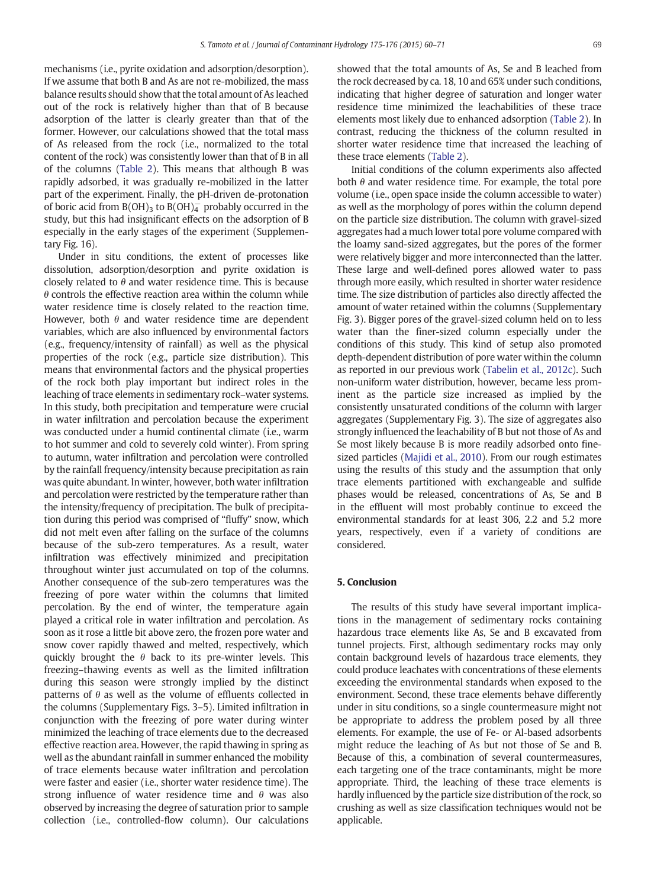mechanisms (i.e., pyrite oxidation and adsorption/desorption). If we assume that both B and As are not re-mobilized, the mass balance results should show that the total amount of As leached out of the rock is relatively higher than that of B because adsorption of the latter is clearly greater than that of the former. However, our calculations showed that the total mass of As released from the rock (i.e., normalized to the total content of the rock) was consistently lower than that of B in all of the columns [\(Table 2\)](#page-5-0). This means that although B was rapidly adsorbed, it was gradually re-mobilized in the latter part of the experiment. Finally, the pH-driven de-protonation of boric acid from  $B(OH)_3$  to  $B(OH)_4^-$  probably occurred in the study, but this had insignificant effects on the adsorption of B especially in the early stages of the experiment (Supplementary Fig. 16).

Under in situ conditions, the extent of processes like dissolution, adsorption/desorption and pyrite oxidation is closely related to  $\theta$  and water residence time. This is because  $\theta$  controls the effective reaction area within the column while water residence time is closely related to the reaction time. However, both  $\theta$  and water residence time are dependent variables, which are also influenced by environmental factors (e.g., frequency/intensity of rainfall) as well as the physical properties of the rock (e.g., particle size distribution). This means that environmental factors and the physical properties of the rock both play important but indirect roles in the leaching of trace elements in sedimentary rock–water systems. In this study, both precipitation and temperature were crucial in water infiltration and percolation because the experiment was conducted under a humid continental climate (i.e., warm to hot summer and cold to severely cold winter). From spring to autumn, water infiltration and percolation were controlled by the rainfall frequency/intensity because precipitation as rain was quite abundant. In winter, however, both water infiltration and percolation were restricted by the temperature rather than the intensity/frequency of precipitation. The bulk of precipitation during this period was comprised of "fluffy" snow, which did not melt even after falling on the surface of the columns because of the sub-zero temperatures. As a result, water infiltration was effectively minimized and precipitation throughout winter just accumulated on top of the columns. Another consequence of the sub-zero temperatures was the freezing of pore water within the columns that limited percolation. By the end of winter, the temperature again played a critical role in water infiltration and percolation. As soon as it rose a little bit above zero, the frozen pore water and snow cover rapidly thawed and melted, respectively, which quickly brought the  $\theta$  back to its pre-winter levels. This freezing–thawing events as well as the limited infiltration during this season were strongly implied by the distinct patterns of  $\theta$  as well as the volume of effluents collected in the columns (Supplementary Figs. 3–5). Limited infiltration in conjunction with the freezing of pore water during winter minimized the leaching of trace elements due to the decreased effective reaction area. However, the rapid thawing in spring as well as the abundant rainfall in summer enhanced the mobility of trace elements because water infiltration and percolation were faster and easier (i.e., shorter water residence time). The strong influence of water residence time and  $\theta$  was also observed by increasing the degree of saturation prior to sample collection (i.e., controlled-flow column). Our calculations

showed that the total amounts of As, Se and B leached from the rock decreased by ca. 18, 10 and 65% under such conditions, indicating that higher degree of saturation and longer water residence time minimized the leachabilities of these trace elements most likely due to enhanced adsorption [\(Table 2\)](#page-5-0). In contrast, reducing the thickness of the column resulted in shorter water residence time that increased the leaching of these trace elements [\(Table 2\)](#page-5-0).

Initial conditions of the column experiments also affected both  $\theta$  and water residence time. For example, the total pore volume (i.e., open space inside the column accessible to water) as well as the morphology of pores within the column depend on the particle size distribution. The column with gravel-sized aggregates had a much lower total pore volume compared with the loamy sand-sized aggregates, but the pores of the former were relatively bigger and more interconnected than the latter. These large and well-defined pores allowed water to pass through more easily, which resulted in shorter water residence time. The size distribution of particles also directly affected the amount of water retained within the columns (Supplementary Fig. 3). Bigger pores of the gravel-sized column held on to less water than the finer-sized column especially under the conditions of this study. This kind of setup also promoted depth-dependent distribution of pore water within the column as reported in our previous work ([Tabelin et al., 2012c](#page-11-0)). Such non-uniform water distribution, however, became less prominent as the particle size increased as implied by the consistently unsaturated conditions of the column with larger aggregates (Supplementary Fig. 3). The size of aggregates also strongly influenced the leachability of B but not those of As and Se most likely because B is more readily adsorbed onto finesized particles [\(Majidi et al., 2010\)](#page-10-0). From our rough estimates using the results of this study and the assumption that only trace elements partitioned with exchangeable and sulfide phases would be released, concentrations of As, Se and B in the effluent will most probably continue to exceed the environmental standards for at least 306, 2.2 and 5.2 more years, respectively, even if a variety of conditions are considered.

### 5. Conclusion

The results of this study have several important implications in the management of sedimentary rocks containing hazardous trace elements like As, Se and B excavated from tunnel projects. First, although sedimentary rocks may only contain background levels of hazardous trace elements, they could produce leachates with concentrations of these elements exceeding the environmental standards when exposed to the environment. Second, these trace elements behave differently under in situ conditions, so a single countermeasure might not be appropriate to address the problem posed by all three elements. For example, the use of Fe- or Al-based adsorbents might reduce the leaching of As but not those of Se and B. Because of this, a combination of several countermeasures, each targeting one of the trace contaminants, might be more appropriate. Third, the leaching of these trace elements is hardly influenced by the particle size distribution of the rock, so crushing as well as size classification techniques would not be applicable.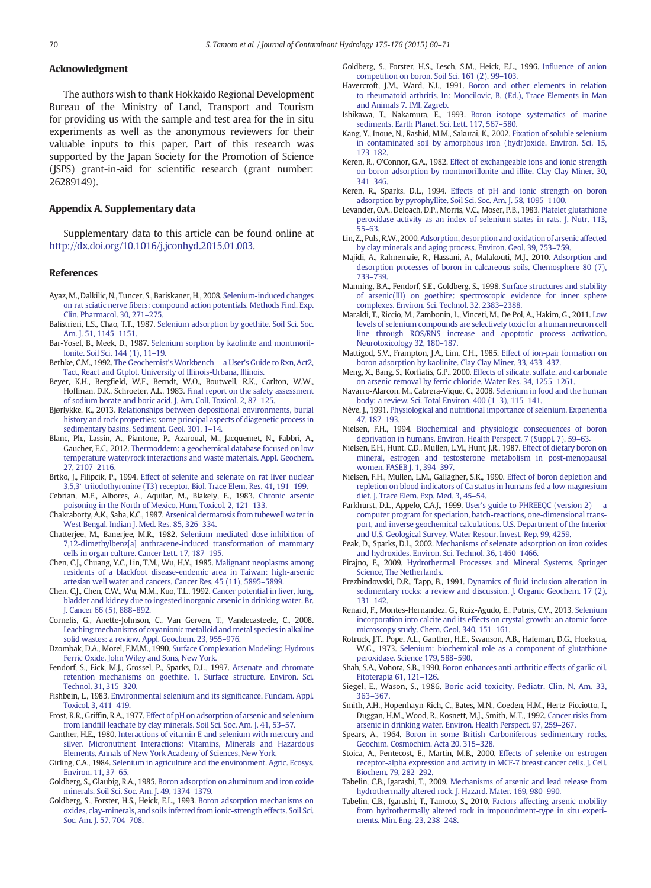#### <span id="page-10-0"></span>Acknowledgment

The authors wish to thank Hokkaido Regional Development Bureau of the Ministry of Land, Transport and Tourism for providing us with the sample and test area for the in situ experiments as well as the anonymous reviewers for their valuable inputs to this paper. Part of this research was supported by the Japan Society for the Promotion of Science (JSPS) grant-in-aid for scientific research (grant number: 26289149).

#### Appendix A. Supplementary data

Supplementary data to this article can be found online at <http://dx.doi.org/10.1016/j.jconhyd.2015.01.003>.

#### References

- Ayaz, M., Dalkilic, N., Tuncer, S., Bariskaner, H., 2008. [Selenium-induced changes](http://refhub.elsevier.com/S0169-7722(15)00013-3/rf0005) [on rat sciatic nerve fibers: compound action potentials. Methods Find. Exp.](http://refhub.elsevier.com/S0169-7722(15)00013-3/rf0005) [Clin. Pharmacol. 30, 271](http://refhub.elsevier.com/S0169-7722(15)00013-3/rf0005)–275.
- Balistrieri, L.S., Chao, T.T., 1987. [Selenium adsorption by goethite. Soil Sci. Soc.](http://refhub.elsevier.com/S0169-7722(15)00013-3/rf0010) [Am. J. 51, 1145](http://refhub.elsevier.com/S0169-7722(15)00013-3/rf0010)–1151.
- Bar-Yosef, B., Meek, D., 1987. [Selenium sorption by kaolinite and montmoril](http://refhub.elsevier.com/S0169-7722(15)00013-3/rf0015)[lonite. Soil Sci. 144 \(1\), 11](http://refhub.elsevier.com/S0169-7722(15)00013-3/rf0015)–19.
- Bethke, C.M., 1992. [The Geochemist's Workbench](http://refhub.elsevier.com/S0169-7722(15)00013-3/rf0020) a User's Guide to Rxn, Act2, [Tact, React and Gtplot. University of Illinois-Urbana, Illinois.](http://refhub.elsevier.com/S0169-7722(15)00013-3/rf0020)
- Beyer, K.H., Bergfield, W.F., Berndt, W.O., Boutwell, R.K., Carlton, W.W., Hoffman, D.K., Schroeter, A.L., 1983. [Final report on the safety assessment](http://refhub.elsevier.com/S0169-7722(15)00013-3/rf0025) [of sodium borate and boric acid. J. Am. Coll. Toxicol. 2, 87](http://refhub.elsevier.com/S0169-7722(15)00013-3/rf0025)–125.
- Bjørlykke, K., 2013. [Relationships between depositional environments, burial](http://refhub.elsevier.com/S0169-7722(15)00013-3/rf0030) [history and rock properties: some principal aspects of diagenetic process in](http://refhub.elsevier.com/S0169-7722(15)00013-3/rf0030) [sedimentary basins. Sediment. Geol. 301, 1](http://refhub.elsevier.com/S0169-7722(15)00013-3/rf0030)–14.
- Blanc, Ph., Lassin, A., Piantone, P., Azaroual, M., Jacquemet, N., Fabbri, A., Gaucher, E.C., 2012. [Thermoddem: a geochemical database focused on low](http://refhub.elsevier.com/S0169-7722(15)00013-3/rf0035) [temperature water/rock interactions and waste materials. Appl. Geochem.](http://refhub.elsevier.com/S0169-7722(15)00013-3/rf0035) [27, 2107](http://refhub.elsevier.com/S0169-7722(15)00013-3/rf0035)–2116.
- Brtko, J., Filipcik, P., 1994. [Effect of selenite and selenate on rat liver nuclear](http://refhub.elsevier.com/S0169-7722(15)00013-3/rf0040) 3,5,3′[-triiodothyronine \(T3\) receptor. Biol. Trace Elem. Res. 41, 191](http://refhub.elsevier.com/S0169-7722(15)00013-3/rf0040)–199.
- Cebrian, M.E., Albores, A., Aquilar, M., Blakely, E., 1983. [Chronic arsenic](http://refhub.elsevier.com/S0169-7722(15)00013-3/rf0045) [poisoning in the North of Mexico. Hum. Toxicol. 2, 121](http://refhub.elsevier.com/S0169-7722(15)00013-3/rf0045)–133.
- Chakraborty, A.K., Saha, K.C., 1987. [Arsenical dermatosis from tubewell water in](http://refhub.elsevier.com/S0169-7722(15)00013-3/rf0050) [West Bengal. Indian J. Med. Res. 85, 326](http://refhub.elsevier.com/S0169-7722(15)00013-3/rf0050)–334.
- Chatterjee, M., Banerjee, M.R., 1982. [Selenium mediated dose-inhibition of](http://refhub.elsevier.com/S0169-7722(15)00013-3/rf0055) [7,12-dimethylbenz\[a\] anthracene-induced transformation of mammary](http://refhub.elsevier.com/S0169-7722(15)00013-3/rf0055) [cells in organ culture. Cancer Lett. 17, 187](http://refhub.elsevier.com/S0169-7722(15)00013-3/rf0055)–195.
- Chen, C.J., Chuang, Y.C., Lin, T.M., Wu, H.Y., 1985. [Malignant neoplasms among](http://refhub.elsevier.com/S0169-7722(15)00013-3/rf0065) [residents of a blackfoot disease-endemic area in Taiwan: high-arsenic](http://refhub.elsevier.com/S0169-7722(15)00013-3/rf0065) [artesian well water and cancers. Cancer Res. 45 \(11\), 5895](http://refhub.elsevier.com/S0169-7722(15)00013-3/rf0065)–5899.
- Chen, C.J., Chen, C.W., Wu, M.M., Kuo, T.L., 1992. [Cancer potential in liver, lung,](http://refhub.elsevier.com/S0169-7722(15)00013-3/rf0060) [bladder and kidney due to ingested inorganic arsenic in drinking water. Br.](http://refhub.elsevier.com/S0169-7722(15)00013-3/rf0060) [J. Cancer 66 \(5\), 888](http://refhub.elsevier.com/S0169-7722(15)00013-3/rf0060)–892.
- Cornelis, G., Anette-Johnson, C., Van Gerven, T., Vandecasteele, C., 2008. [Leaching mechanisms of oxyanionic metalloid and metal species in alkaline](http://refhub.elsevier.com/S0169-7722(15)00013-3/rf0070) [solid wastes: a review. Appl. Geochem. 23, 955](http://refhub.elsevier.com/S0169-7722(15)00013-3/rf0070)–976.
- Dzombak, D.A., Morel, F.M.M., 1990. [Surface Complexation Modeling: Hydrous](http://refhub.elsevier.com/S0169-7722(15)00013-3/rf0075) [Ferric Oxide. John Wiley and Sons, New York.](http://refhub.elsevier.com/S0169-7722(15)00013-3/rf0075)
- Fendorf, S., Eick, M.J., Grossel, P., Sparks, D.L., 1997. [Arsenate and chromate](http://refhub.elsevier.com/S0169-7722(15)00013-3/rf0080) [retention mechanisms on goethite. 1. Surface structure. Environ. Sci.](http://refhub.elsevier.com/S0169-7722(15)00013-3/rf0080) [Technol. 31, 315](http://refhub.elsevier.com/S0169-7722(15)00013-3/rf0080)–320.
- Fishbein, L., 1983. [Environmental selenium and its significance. Fundam. Appl.](http://refhub.elsevier.com/S0169-7722(15)00013-3/rf0085) [Toxicol. 3, 411](http://refhub.elsevier.com/S0169-7722(15)00013-3/rf0085)–419.
- Frost, R.R., Griffin, R.A., 1977. [Effect of pH on adsorption of arsenic and selenium](http://refhub.elsevier.com/S0169-7722(15)00013-3/rf0090) [from landfill leachate by clay minerals. Soil Sci. Soc. Am. J. 41, 53](http://refhub.elsevier.com/S0169-7722(15)00013-3/rf0090)–57.
- Ganther, H.E., 1980. [Interactions of vitamin E and selenium with mercury and](http://refhub.elsevier.com/S0169-7722(15)00013-3/rf0335) [silver. Micronutrient Interactions: Vitamins, Minerals and Hazardous](http://refhub.elsevier.com/S0169-7722(15)00013-3/rf0335) [Elements. Annals of New York Academy of Sciences, New York](http://refhub.elsevier.com/S0169-7722(15)00013-3/rf0335).
- Girling, C.A., 1984. [Selenium in agriculture and the environment. Agric. Ecosys.](http://refhub.elsevier.com/S0169-7722(15)00013-3/rf0100) [Environ. 11, 37](http://refhub.elsevier.com/S0169-7722(15)00013-3/rf0100)–65.
- Goldberg, S., Glaubig, R.A., 1985. [Boron adsorption on aluminum and iron oxide](http://refhub.elsevier.com/S0169-7722(15)00013-3/rf0115) [minerals. Soil Sci. Soc. Am. J. 49, 1374](http://refhub.elsevier.com/S0169-7722(15)00013-3/rf0115)–1379.
- Goldberg, S., Forster, H.S., Heick, E.L., 1993. [Boron adsorption mechanisms on](http://refhub.elsevier.com/S0169-7722(15)00013-3/rf0110) [oxides, clay-minerals, and soils inferred from ionic-strength effects. Soil Sci.](http://refhub.elsevier.com/S0169-7722(15)00013-3/rf0110) [Soc. Am. J. 57, 704](http://refhub.elsevier.com/S0169-7722(15)00013-3/rf0110)–708.
- Goldberg, S., Forster, H.S., Lesch, S.M., Heick, E.L., 1996. [Influence of anion](http://refhub.elsevier.com/S0169-7722(15)00013-3/rf0105) [competition on boron. Soil Sci. 161 \(2\), 99](http://refhub.elsevier.com/S0169-7722(15)00013-3/rf0105)–103.
- Havercroft, J.M., Ward, N.I., 1991. [Boron and other elements in relation](http://refhub.elsevier.com/S0169-7722(15)00013-3/rf0340) [to rheumatoid arthritis. In: Moncilovic, B. \(Ed.\), Trace Elements in Man](http://refhub.elsevier.com/S0169-7722(15)00013-3/rf0340) [and Animals 7. IMI, Zagreb.](http://refhub.elsevier.com/S0169-7722(15)00013-3/rf0340)
- Ishikawa, T., Nakamura, E., 1993. [Boron isotope systematics of marine](http://refhub.elsevier.com/S0169-7722(15)00013-3/rf0120) [sediments. Earth Planet. Sci. Lett. 117, 567](http://refhub.elsevier.com/S0169-7722(15)00013-3/rf0120)–580.
- Kang, Y., Inoue, N., Rashid, M.M., Sakurai, K., 2002. [Fixation of soluble selenium](http://refhub.elsevier.com/S0169-7722(15)00013-3/rf0125) [in contaminated soil by amorphous iron \(hydr\)oxide. Environ. Sci. 15,](http://refhub.elsevier.com/S0169-7722(15)00013-3/rf0125) [173](http://refhub.elsevier.com/S0169-7722(15)00013-3/rf0125)–182.
- Keren, R., O'Connor, G.A., 1982. [Effect of exchangeable ions and ionic strength](http://refhub.elsevier.com/S0169-7722(15)00013-3/rf0130) [on boron adsorption by montmorillonite and illite. Clay Clay Miner. 30,](http://refhub.elsevier.com/S0169-7722(15)00013-3/rf0130) [341](http://refhub.elsevier.com/S0169-7722(15)00013-3/rf0130)–346.
- Keren, R., Sparks, D.L., 1994. [Effects of pH and ionic strength on boron](http://refhub.elsevier.com/S0169-7722(15)00013-3/rf0135) [adsorption by pyrophyllite. Soil Sci. Soc. Am. J. 58, 1095](http://refhub.elsevier.com/S0169-7722(15)00013-3/rf0135)–1100.
- Levander, O.A., Deloach, D.P., Morris, V.C., Moser, P.B., 1983. [Platelet glutathione](http://refhub.elsevier.com/S0169-7722(15)00013-3/rf0140) [peroxidase activity as an index of selenium states in rats. J. Nutr. 113,](http://refhub.elsevier.com/S0169-7722(15)00013-3/rf0140) [55](http://refhub.elsevier.com/S0169-7722(15)00013-3/rf0140)–63.
- Lin, Z., Puls, R.W., 2000. [Adsorption, desorption and oxidation of arsenic affected](http://refhub.elsevier.com/S0169-7722(15)00013-3/rf0145) [by clay minerals and aging process. Environ. Geol. 39, 753](http://refhub.elsevier.com/S0169-7722(15)00013-3/rf0145)–759.
- Majidi, A., Rahnemaie, R., Hassani, A., Malakouti, M.J., 2010. [Adsorption and](http://refhub.elsevier.com/S0169-7722(15)00013-3/rf0150) [desorption processes of boron in calcareous soils. Chemosphere 80 \(7\),](http://refhub.elsevier.com/S0169-7722(15)00013-3/rf0150) [733](http://refhub.elsevier.com/S0169-7722(15)00013-3/rf0150)–739.
- Manning, B.A., Fendorf, S.E., Goldberg, S., 1998. [Surface structures and stability](http://refhub.elsevier.com/S0169-7722(15)00013-3/rf0155) [of arsenic\(III\) on goethite: spectroscopic evidence for inner sphere](http://refhub.elsevier.com/S0169-7722(15)00013-3/rf0155) [complexes. Environ. Sci. Technol. 32, 2383](http://refhub.elsevier.com/S0169-7722(15)00013-3/rf0155)–2388.
- Maraldi, T., Riccio, M., Zambonin, L., Vinceti, M., De Pol, A., Hakim, G., 2011. [Low](http://refhub.elsevier.com/S0169-7722(15)00013-3/rf0160) [levels of selenium compounds are selectively toxic for a human neuron cell](http://refhub.elsevier.com/S0169-7722(15)00013-3/rf0160) [line through ROS/RNS increase and apoptotic process activation.](http://refhub.elsevier.com/S0169-7722(15)00013-3/rf0160) [Neurotoxicology 32, 180](http://refhub.elsevier.com/S0169-7722(15)00013-3/rf0160)–187.
- Mattigod, S.V., Frampton, J.A., Lim, C.H., 1985. [Effect of ion-pair formation on](http://refhub.elsevier.com/S0169-7722(15)00013-3/rf0165) [boron adsorption by kaolinite. Clay Clay Miner. 33, 433](http://refhub.elsevier.com/S0169-7722(15)00013-3/rf0165)–437.
- Meng, X., Bang, S., Korfiatis, G.P., 2000. [Effects of silicate, sulfate, and carbonate](http://refhub.elsevier.com/S0169-7722(15)00013-3/rf0170) [on arsenic removal by ferric chloride. Water Res. 34, 1255](http://refhub.elsevier.com/S0169-7722(15)00013-3/rf0170)–1261.
- Navarro-Alarcon, M., Cabrera-Vique, C., 2008. [Selenium in food and the human](http://refhub.elsevier.com/S0169-7722(15)00013-3/rf0175) [body: a review. Sci. Total Environ. 400 \(1](http://refhub.elsevier.com/S0169-7722(15)00013-3/rf0175)–3), 115–141.
- Nève, J., 1991. [Physiological and nutritional importance of selenium. Experientia](http://refhub.elsevier.com/S0169-7722(15)00013-3/rf0180) [47, 187](http://refhub.elsevier.com/S0169-7722(15)00013-3/rf0180)–193.
- Nielsen, F.H., 1994. [Biochemical and physiologic consequences of boron](http://refhub.elsevier.com/S0169-7722(15)00013-3/rf0195) [deprivation in humans. Environ. Health Perspect. 7 \(Suppl. 7\), 59](http://refhub.elsevier.com/S0169-7722(15)00013-3/rf0195)–63.
- Nielsen, E.H., Hunt, C.D., Mullen, L.M., Hunt, J.R., 1987. [Effect of dietary boron on](http://refhub.elsevier.com/S0169-7722(15)00013-3/rf0185) [mineral, estrogen and testosterone metabolism in post-menopausal](http://refhub.elsevier.com/S0169-7722(15)00013-3/rf0185) [women. FASEB J. 1, 394](http://refhub.elsevier.com/S0169-7722(15)00013-3/rf0185)–397.
- Nielsen, F.H., Mullen, L.M., Gallagher, S.K., 1990. [Effect of boron depletion and](http://refhub.elsevier.com/S0169-7722(15)00013-3/rf0190) [repletion on blood indicators of Ca status in humans fed a low magnesium](http://refhub.elsevier.com/S0169-7722(15)00013-3/rf0190) [diet. J. Trace Elem. Exp. Med. 3, 45](http://refhub.elsevier.com/S0169-7722(15)00013-3/rf0190)–54.
- Parkhurst, D.L., Appelo, C.A.J., 1999. [User's guide to PHREEQC \(version 2\)](http://refhub.elsevier.com/S0169-7722(15)00013-3/rf0345) a [computer program for speciation, batch-reactions, one-dimensional trans](http://refhub.elsevier.com/S0169-7722(15)00013-3/rf0345)[port, and inverse geochemical calculations. U.S. Department of the Interior](http://refhub.elsevier.com/S0169-7722(15)00013-3/rf0345) [and U.S. Geological Survey. Water Resour. Invest. Rep. 99, 4259](http://refhub.elsevier.com/S0169-7722(15)00013-3/rf0345).
- Peak, D., Sparks, D.L., 2002. [Mechanisms of selenate adsorption on iron oxides](http://refhub.elsevier.com/S0169-7722(15)00013-3/rf0200) [and hydroxides. Environ. Sci. Technol. 36, 1460](http://refhub.elsevier.com/S0169-7722(15)00013-3/rf0200)–1466.
- Piraino, F., 2009. [Hydrothermal Processes and Mineral Systems. Springer](http://refhub.elsevier.com/S0169-7722(15)00013-3/rf0205) [Science, The Netherlands.](http://refhub.elsevier.com/S0169-7722(15)00013-3/rf0205)
- Prezbindowski, D.R., Tapp, B., 1991. [Dynamics of fluid inclusion alteration in](http://refhub.elsevier.com/S0169-7722(15)00013-3/rf0210) [sedimentary rocks: a review and discussion. J. Organic Geochem. 17 \(2\),](http://refhub.elsevier.com/S0169-7722(15)00013-3/rf0210) [131](http://refhub.elsevier.com/S0169-7722(15)00013-3/rf0210)–142.
- Renard, F., Montes-Hernandez, G., Ruiz-Agudo, E., Putnis, C.V., 2013. [Selenium](http://refhub.elsevier.com/S0169-7722(15)00013-3/rf0215) [incorporation into calcite and its effects on crystal growth: an atomic force](http://refhub.elsevier.com/S0169-7722(15)00013-3/rf0215) [microscopy study. Chem. Geol. 340, 151](http://refhub.elsevier.com/S0169-7722(15)00013-3/rf0215)–161.
- Rotruck, J.T., Pope, A.L., Ganther, H.E., Swanson, A.B., Hafeman, D.G., Hoekstra, W.G., 1973. [Selenium: biochemical role as a component of glutathione](http://refhub.elsevier.com/S0169-7722(15)00013-3/rf0220) [peroxidase. Science 179, 588](http://refhub.elsevier.com/S0169-7722(15)00013-3/rf0220)–590.
- Shah, S.A., Vohora, S.B., 1990. [Boron enhances anti-arthritic effects of garlic oil.](http://refhub.elsevier.com/S0169-7722(15)00013-3/rf0225) [Fitoterapia 61, 121](http://refhub.elsevier.com/S0169-7722(15)00013-3/rf0225)–126.
- Siegel, E., Wason, S., 1986. [Boric acid toxicity. Pediatr. Clin. N. Am. 33,](http://refhub.elsevier.com/S0169-7722(15)00013-3/rf0230) 363–[367.](http://refhub.elsevier.com/S0169-7722(15)00013-3/rf0230)
- Smith, A.H., Hopenhayn-Rich, C., Bates, M.N., Goeden, H.M., Hertz-Picciotto, I., Duggan, H.M., Wood, R., Kosnett, M.J., Smith, M.T., 1992. [Cancer risks from](http://refhub.elsevier.com/S0169-7722(15)00013-3/rf0235) [arsenic in drinking water. Environ. Health Perspect. 97, 259](http://refhub.elsevier.com/S0169-7722(15)00013-3/rf0235)–267.
- Spears, A., 1964. [Boron in some British Carboniferous sedimentary rocks.](http://refhub.elsevier.com/S0169-7722(15)00013-3/rf0240) [Geochim. Cosmochim. Acta 20, 315](http://refhub.elsevier.com/S0169-7722(15)00013-3/rf0240)–328.
- Stoica, A., Pentecost, E., Martin, M.B., 2000. [Effects of selenite on estrogen](http://refhub.elsevier.com/S0169-7722(15)00013-3/rf0245) [receptor-alpha expression and activity in MCF-7 breast cancer cells. J. Cell.](http://refhub.elsevier.com/S0169-7722(15)00013-3/rf0245) [Biochem. 79, 282](http://refhub.elsevier.com/S0169-7722(15)00013-3/rf0245)–292.
- Tabelin, C.B., Igarashi, T., 2009. [Mechanisms of arsenic and lead release from](http://refhub.elsevier.com/S0169-7722(15)00013-3/rf9005) [hydrothermally altered rock. J. Hazard. Mater. 169, 980](http://refhub.elsevier.com/S0169-7722(15)00013-3/rf9005)–990.
- Tabelin, C.B., Igarashi, T., Tamoto, S., 2010. [Factors affecting arsenic mobility](http://refhub.elsevier.com/S0169-7722(15)00013-3/rf9805) [from hydrothermally altered rock in impoundment-type in situ experi](http://refhub.elsevier.com/S0169-7722(15)00013-3/rf9805)[ments. Min. Eng. 23, 238](http://refhub.elsevier.com/S0169-7722(15)00013-3/rf9805)–248.